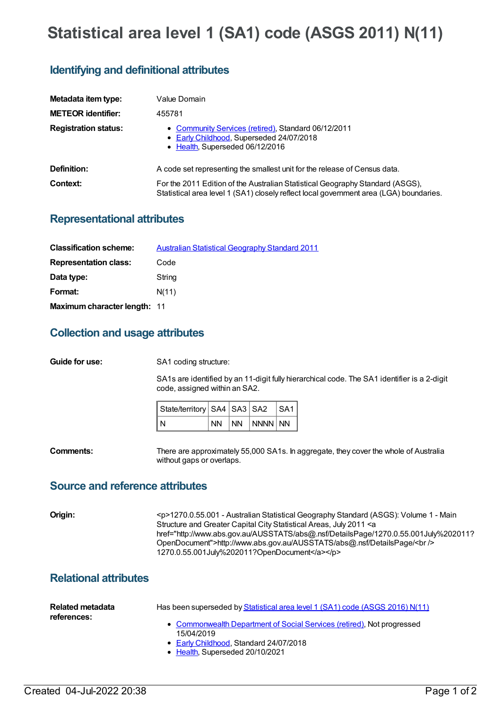# **Statistical area level 1 (SA1) code (ASGS 2011) N(11)**

# **Identifying and definitional attributes**

| Metadata item type:         | Value Domain                                                                                                                                                            |
|-----------------------------|-------------------------------------------------------------------------------------------------------------------------------------------------------------------------|
| <b>METEOR identifier:</b>   | 455781                                                                                                                                                                  |
| <b>Registration status:</b> | • Community Services (retired), Standard 06/12/2011<br>• Early Childhood, Superseded 24/07/2018<br>• Health, Superseded 06/12/2016                                      |
| <b>Definition:</b>          | A code set representing the smallest unit for the release of Census data.                                                                                               |
| Context:                    | For the 2011 Edition of the Australian Statistical Geography Standard (ASGS),<br>Statistical area level 1 (SA1) closely reflect local government area (LGA) boundaries. |

### **Representational attributes**

| <b>Classification scheme:</b> | <b>Australian Statistical Geography Standard 2011</b> |
|-------------------------------|-------------------------------------------------------|
| <b>Representation class:</b>  | Code                                                  |
| Data type:                    | String                                                |
| Format:                       | N(11)                                                 |
| Maximum character length: 11  |                                                       |

## **Collection and usage attributes**

**Guide for use:** SA1 coding structure:

SA1s are identified by an 11-digit fully hierarchical code. The SA1 identifier is a 2-digit code, assigned within an SA2.

| State/territory   SA4   SA3   SA2   SA1 |  |                  |  |
|-----------------------------------------|--|------------------|--|
| I N                                     |  | Inn Inn InnnnInn |  |

**Comments:** There are approximately 55,000 SA1s. In aggregate, they cover the whole of Australia without gaps or overlaps.

#### **Source and reference attributes**

| Origin: | <p>1270.0.55.001 - Australian Statistical Geography Standard (ASGS): Volume 1 - Main<br/>Structure and Greater Capital City Statistical Areas, July 2011 <a<br>href="http://www.abs.gov.au/AUSSTATS/abs@.nsf/DetailsPage/1270.0.55.001July%202011?<br/>OpenDocument"&gt;http://www.abs.gov.au/AUSSTATS/abs@.nsf/DetailsPage/<br/></a<br></p> |
|---------|----------------------------------------------------------------------------------------------------------------------------------------------------------------------------------------------------------------------------------------------------------------------------------------------------------------------------------------------|
|         | 1270.0.55.001July%202011?OpenDocument                                                                                                                                                                                                                                                                                                        |

### **Relational attributes**

| Related metadata<br>references: | Has been superseded by Statistical area level 1 (SA1) code (ASGS 2016) N(11)         |
|---------------------------------|--------------------------------------------------------------------------------------|
|                                 | • Commonwealth Department of Social Services (retired), Not progressed<br>15/04/2019 |
|                                 | • Early Childhood, Standard 24/07/2018                                               |
|                                 | • Health, Superseded 20/10/2021                                                      |